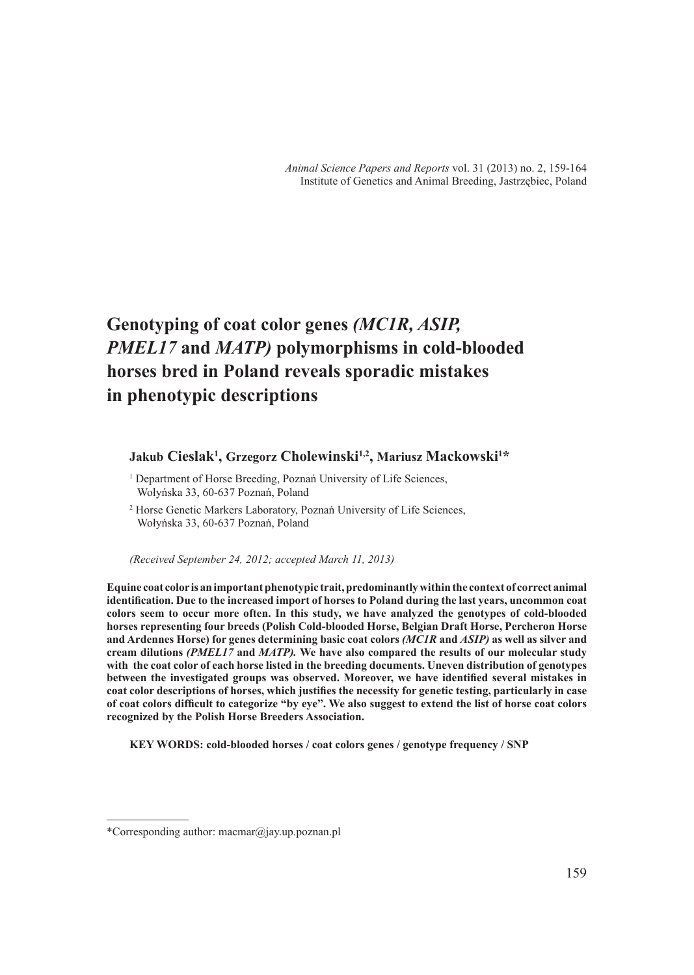# **Genotyping of coat color genes** *(MC1R, ASIP, PMEL17* **and** *MATP)* **polymorphisms in cold-blooded horses bred in Poland reveals sporadic mistakes in phenotypic descriptions**

## **Jakub Cieslak1 , Grzegorz Cholewinski1,2, Mariusz Mackowski1 \***

<sup>1</sup> Department of Horse Breeding, Poznań University of Life Sciences, Wołyńska 33, 60-637 Poznań, Poland

2 Horse Genetic Markers Laboratory, Poznań University of Life Sciences, Wołyńska 33, 60-637 Poznań, Poland

*(Received September 24, 2012; accepted March 11, 2013)*

**Equine coat color is an important phenotypic trait, predominantly within the context of correct animal identification. Due to the increased import of horses to Poland during the last years, uncommon coat colors seem to occur more often. In this study, we have analyzed the genotypes of cold-blooded horses representing four breeds (Polish Cold-blooded Horse, Belgian Draft Horse, Percheron Horse and Ardennes Horse) for genes determining basic coat colors** *(MC1R* **and** *ASIP)* **as well as silver and cream dilutions** *(PMEL17* **and** *MATP).* **We have also compared the results of our molecular study with the coat color of each horse listed in the breeding documents. Uneven distribution of genotypes between the investigated groups was observed. Moreover, we have identified several mistakes in coat color descriptions of horses, which justifies the necessity for genetic testing, particularly in case of coat colors difficult to categorize "by eye". We also suggest to extend the list of horse coat colors recognized by the Polish Horse Breeders Association.** 

**KEY WORDS: cold-blooded horses / coat colors genes / genotype frequency / SNP** 

<sup>\*</sup>Corresponding author: macmar@jay.up.poznan.pl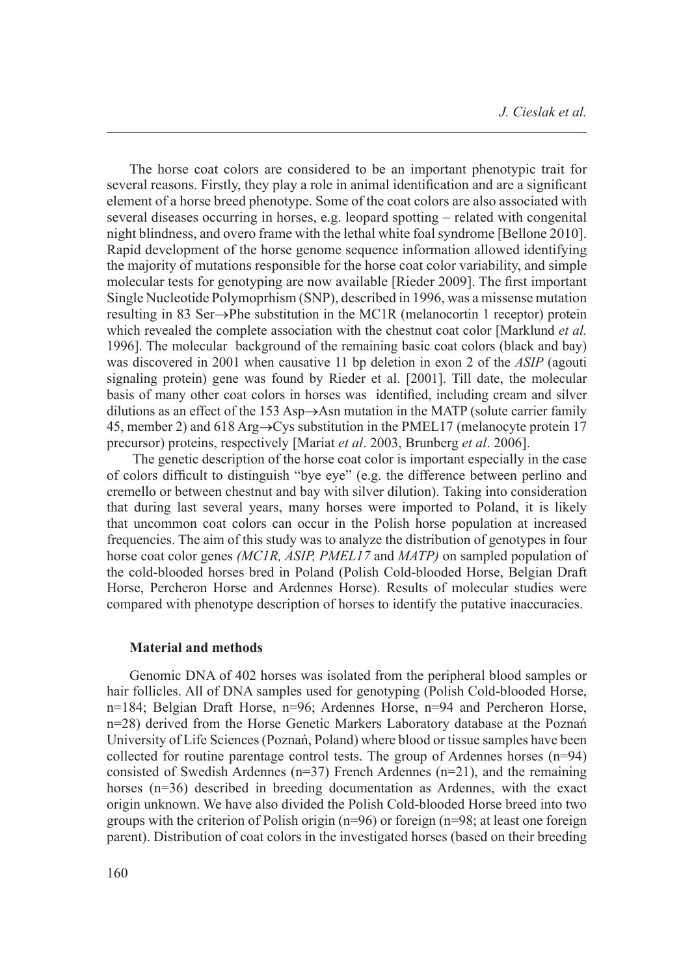The horse coat colors are considered to be an important phenotypic trait for several reasons. Firstly, they play a role in animal identification and are a significant element of a horse breed phenotype. Some of the coat colors are also associated with several diseases occurring in horses, e.g. leopard spotting – related with congenital night blindness, and overo frame with the lethal white foal syndrome [Bellone 2010]. Rapid development of the horse genome sequence information allowed identifying the majority of mutations responsible for the horse coat color variability, and simple molecular tests for genotyping are now available [Rieder 2009]. The first important Single Nucleotide Polymoprhism (SNP), described in 1996, was a missense mutation resulting in 83 Ser→Phe substitution in the MC1R (melanocortin 1 receptor) protein which revealed the complete association with the chestnut coat color [Marklund *et al.*] 1996]. The molecular background of the remaining basic coat colors (black and bay) was discovered in 2001 when causative 11 bp deletion in exon 2 of the *ASIP* (agouti signaling protein) gene was found by Rieder et al. [2001]. Till date, the molecular basis of many other coat colors in horses was identified, including cream and silver dilutions as an effect of the 153 Asp→Asn mutation in the MATP (solute carrier family 45, member 2) and 618 Arg→Cys substitution in the PMEL17 (melanocyte protein 17 precursor) proteins, respectively [Mariat *et al*. 2003, Brunberg *et al*. 2006].

 The genetic description of the horse coat color is important especially in the case of colors difficult to distinguish "bye eye" (e.g. the difference between perlino and cremello or between chestnut and bay with silver dilution). Taking into consideration that during last several years, many horses were imported to Poland, it is likely that uncommon coat colors can occur in the Polish horse population at increased frequencies. The aim of this study was to analyze the distribution of genotypes in four horse coat color genes *(MC1R, ASIP, PMEL17* and *MATP)* on sampled population of the cold-blooded horses bred in Poland (Polish Cold-blooded Horse, Belgian Draft Horse, Percheron Horse and Ardennes Horse). Results of molecular studies were compared with phenotype description of horses to identify the putative inaccuracies.

### **Material and methods**

Genomic DNA of 402 horses was isolated from the peripheral blood samples or hair follicles. All of DNA samples used for genotyping (Polish Cold-blooded Horse, n=184; Belgian Draft Horse, n=96; Ardennes Horse, n=94 and Percheron Horse, n=28) derived from the Horse Genetic Markers Laboratory database at the Poznań University of Life Sciences (Poznań, Poland) where blood or tissue samples have been collected for routine parentage control tests. The group of Ardennes horses  $(n=94)$ consisted of Swedish Ardennes (n=37) French Ardennes (n=21), and the remaining horses (n=36) described in breeding documentation as Ardennes, with the exact origin unknown. We have also divided the Polish Cold-blooded Horse breed into two groups with the criterion of Polish origin (n=96) or foreign (n=98; at least one foreign parent). Distribution of coat colors in the investigated horses (based on their breeding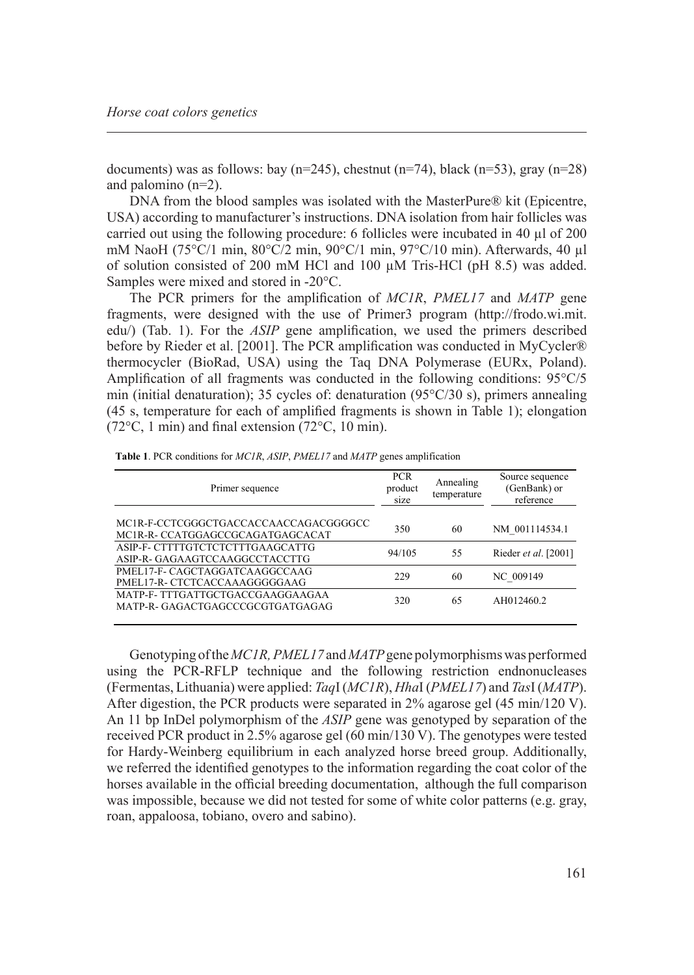documents) was as follows: bay ( $n=245$ ), chestnut ( $n=74$ ), black ( $n=53$ ), gray ( $n=28$ ) and palomino (n=2).

DNA from the blood samples was isolated with the MasterPure® kit (Epicentre, USA) according to manufacturer's instructions. DNA isolation from hair follicles was carried out using the following procedure: 6 follicles were incubated in 40 µl of 200 mM NaoH (75°C/1 min, 80°C/2 min, 90°C/1 min, 97°C/10 min). Afterwards, 40 µl of solution consisted of 200 mM HCl and 100 µM Tris-HCl (pH 8.5) was added. Samples were mixed and stored in -20°C.

The PCR primers for the amplification of *MC1R*, *PMEL17* and *MATP* gene fragments, were designed with the use of Primer3 program (http://frodo.wi.mit. edu/) (Tab. 1). For the *ASIP* gene amplification, we used the primers described before by Rieder et al. [2001]. The PCR amplification was conducted in MyCycler® thermocycler (BioRad, USA) using the Taq DNA Polymerase (EURx, Poland). Amplification of all fragments was conducted in the following conditions: 95°C/5 min (initial denaturation); 35 cycles of: denaturation (95°C/30 s), primers annealing (45 s, temperature for each of amplified fragments is shown in Table 1); elongation (72°C, 1 min) and final extension (72°C, 10 min).

| Primer sequence                                                           | <b>PCR</b><br>product<br>size | Annealing<br>temperature | Source sequence<br>(GenBank) or<br>reference |
|---------------------------------------------------------------------------|-------------------------------|--------------------------|----------------------------------------------|
| MC1R-F-CCTCGGGCTGACCACCAACCAGACGGGGCC<br>MCIR-R- CCATGGAGCCGCAGATGAGCACAT | 350                           | 60                       | NM 001114534.1                               |
| ASIP-F- CTTTTGTCTCTCTTTGAAGCATTG<br>ASIP-R- GAGAAGTCCAAGGCCTACCTTG        | 94/105                        | 55                       | Rieder et al. [2001]                         |
| PMEL17-F- CAGCTAGGATCAAGGCCAAG<br>PMEL17-R- CTCTCACCAAAGGGGGAAG           | 229                           | 60                       | NC 009149                                    |
| MATP-F- TTTGATTGCTGACCGAAGGAAGAA<br>MATP-R- GAGACTGAGCCCGCGTGATGAGAG      | 320                           | 65                       | AH012460.2                                   |

**Table 1**. PCR conditions for *MC1R*, *ASIP*, *PMEL17* and *MATP* genes amplification

Genotyping of the *MC1R, PMEL17* and *MATP* gene polymorphisms was performed using the PCR-RFLP technique and the following restriction endnonucleases (Fermentas, Lithuania) were applied: *Taq*I (*MC1R*), *Hha*I (*PMEL17*) and *Tas*I (*MATP*). After digestion, the PCR products were separated in 2% agarose gel (45 min/120 V). An 11 bp InDel polymorphism of the *ASIP* gene was genotyped by separation of the received PCR product in 2.5% agarose gel (60 min/130 V). The genotypes were tested for Hardy-Weinberg equilibrium in each analyzed horse breed group. Additionally, we referred the identified genotypes to the information regarding the coat color of the horses available in the official breeding documentation, although the full comparison was impossible, because we did not tested for some of white color patterns (e.g. gray, roan, appaloosa, tobiano, overo and sabino).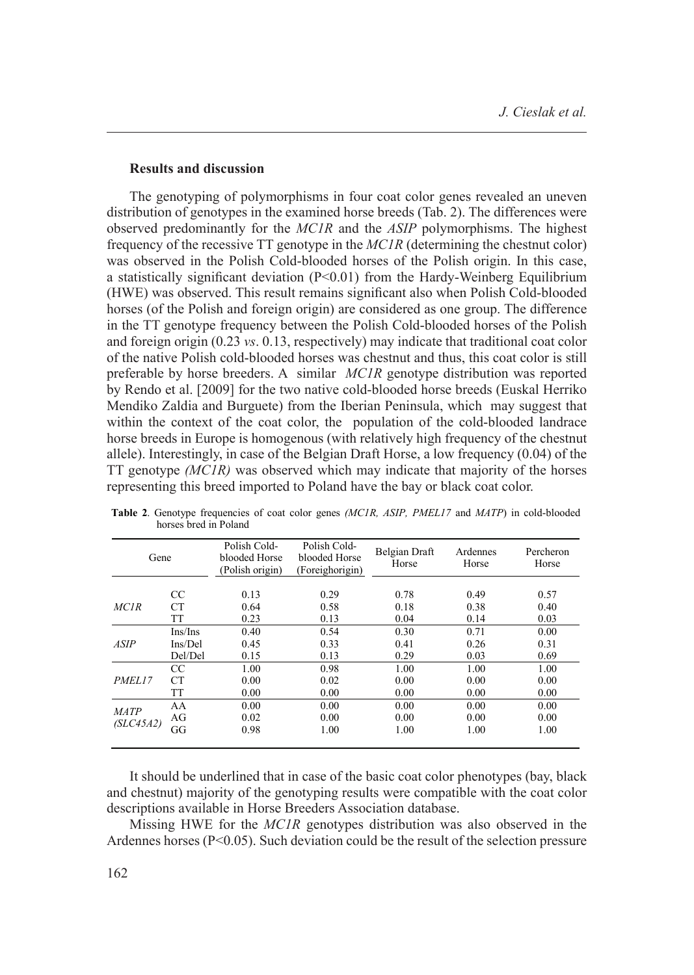#### **Results and discussion**

The genotyping of polymorphisms in four coat color genes revealed an uneven distribution of genotypes in the examined horse breeds (Tab. 2). The differences were observed predominantly for the *MC1R* and the *ASIP* polymorphisms. The highest frequency of the recessive TT genotype in the *MC1R* (determining the chestnut color) was observed in the Polish Cold-blooded horses of the Polish origin. In this case, a statistically significant deviation  $(P< 0.01)$  from the Hardy-Weinberg Equilibrium (HWE) was observed. This result remains significant also when Polish Cold-blooded horses (of the Polish and foreign origin) are considered as one group. The difference in the TT genotype frequency between the Polish Cold-blooded horses of the Polish and foreign origin (0.23 *vs*. 0.13, respectively) may indicate that traditional coat color of the native Polish cold-blooded horses was chestnut and thus, this coat color is still preferable by horse breeders. A similar *MC1R* genotype distribution was reported by Rendo et al. [2009] for the two native cold-blooded horse breeds (Euskal Herriko Mendiko Zaldia and Burguete) from the Iberian Peninsula, which may suggest that within the context of the coat color, the population of the cold-blooded landrace horse breeds in Europe is homogenous (with relatively high frequency of the chestnut allele). Interestingly, in case of the Belgian Draft Horse, a low frequency (0.04) of the TT genotype *(MC1R)* was observed which may indicate that majority of the horses representing this breed imported to Poland have the bay or black coat color.

| Gene                     |                | Polish Cold-<br>blooded Horse<br>(Polish origin) | Polish Cold-<br>blooded Horse<br>(Foreighorigin) | Belgian Draft<br>Horse | Ardennes<br>Horse    | Percheron<br>Horse   |
|--------------------------|----------------|--------------------------------------------------|--------------------------------------------------|------------------------|----------------------|----------------------|
| <b>MCIR</b>              | <sub>CC</sub>  | 0.13                                             | 0.29                                             | 0.78                   | 0.49                 | 0.57                 |
|                          | <b>CT</b>      | 0.64                                             | 0.58                                             | 0.18                   | 0.38                 | 0.40                 |
|                          | TT             | 0.23                                             | 0.13                                             | 0.04                   | 0.14                 | 0.03                 |
| <b>ASIP</b>              | Ins/Ins        | 0.40                                             | 0.54                                             | 0.30                   | 0.71                 | 0.00                 |
|                          | Ins/Del        | 0.45                                             | 0.33                                             | 0.41                   | 0.26                 | 0.31                 |
|                          | Del/Del        | 0.15                                             | 0.13                                             | 0.29                   | 0.03                 | 0.69                 |
| PMEL17                   | CC             | 1.00                                             | 0.98                                             | 1.00                   | 1.00                 | 1.00                 |
|                          | CТ             | 0.00                                             | 0.02                                             | 0.00                   | 0.00                 | 0.00                 |
|                          | TT             | 0.00                                             | 0.00                                             | 0.00                   | 0.00                 | 0.00                 |
| <b>MATP</b><br>(SLC45A2) | AA<br>AG<br>GG | 0.00<br>0.02<br>0.98                             | 0.00<br>0.00<br>1.00                             | 0.00<br>0.00<br>1.00   | 0.00<br>0.00<br>1.00 | 0.00<br>0.00<br>1.00 |

**Table 2**. Genotype frequencies of coat color genes *(MC1R, ASIP, PMEL17* and *MATP*) in cold-blooded horses bred in Poland

It should be underlined that in case of the basic coat color phenotypes (bay, black and chestnut) majority of the genotyping results were compatible with the coat color descriptions available in Horse Breeders Association database.

Missing HWE for the *MC1R* genotypes distribution was also observed in the Ardennes horses ( $P \le 0.05$ ). Such deviation could be the result of the selection pressure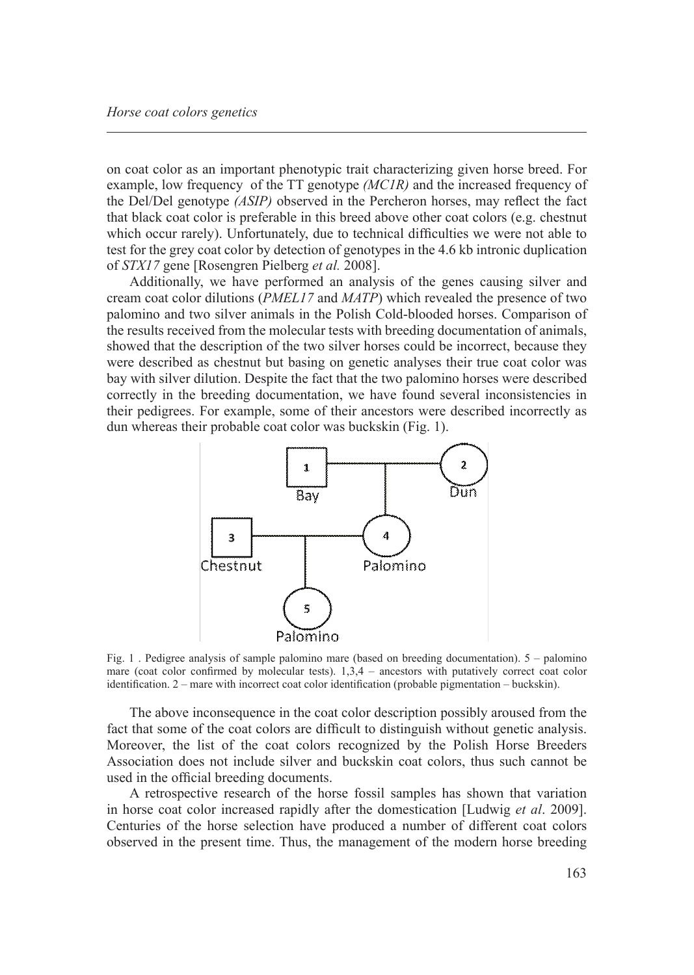on coat color as an important phenotypic trait characterizing given horse breed. For example, low frequency of the TT genotype *(MC1R)* and the increased frequency of the Del/Del genotype *(ASIP)* observed in the Percheron horses, may reflect the fact that black coat color is preferable in this breed above other coat colors (e.g. chestnut which occur rarely). Unfortunately, due to technical difficulties we were not able to test for the grey coat color by detection of genotypes in the 4.6 kb intronic duplication of *STX17* gene [Rosengren Pielberg *et al.* 2008].

Additionally, we have performed an analysis of the genes causing silver and cream coat color dilutions (*PMEL17* and *MATP*) which revealed the presence of two palomino and two silver animals in the Polish Cold-blooded horses. Comparison of the results received from the molecular tests with breeding documentation of animals, showed that the description of the two silver horses could be incorrect, because they were described as chestnut but basing on genetic analyses their true coat color was bay with silver dilution. Despite the fact that the two palomino horses were described correctly in the breeding documentation, we have found several inconsistencies in their pedigrees. For example, some of their ancestors were described incorrectly as dun whereas their probable coat color was buckskin (Fig. 1).



Fig. 1 . Pedigree analysis of sample palomino mare (based on breeding documentation). 5 – palomino mare (coat color confirmed by molecular tests).  $1,3,4$  – ancestors with putatively correct coat color identification. 2 – mare with incorrect coat color identification (probable pigmentation – buckskin).

The above inconsequence in the coat color description possibly aroused from the fact that some of the coat colors are difficult to distinguish without genetic analysis. Moreover, the list of the coat colors recognized by the Polish Horse Breeders Association does not include silver and buckskin coat colors, thus such cannot be used in the official breeding documents.

A retrospective research of the horse fossil samples has shown that variation in horse coat color increased rapidly after the domestication [Ludwig *et al*. 2009]. Centuries of the horse selection have produced a number of different coat colors observed in the present time. Thus, the management of the modern horse breeding